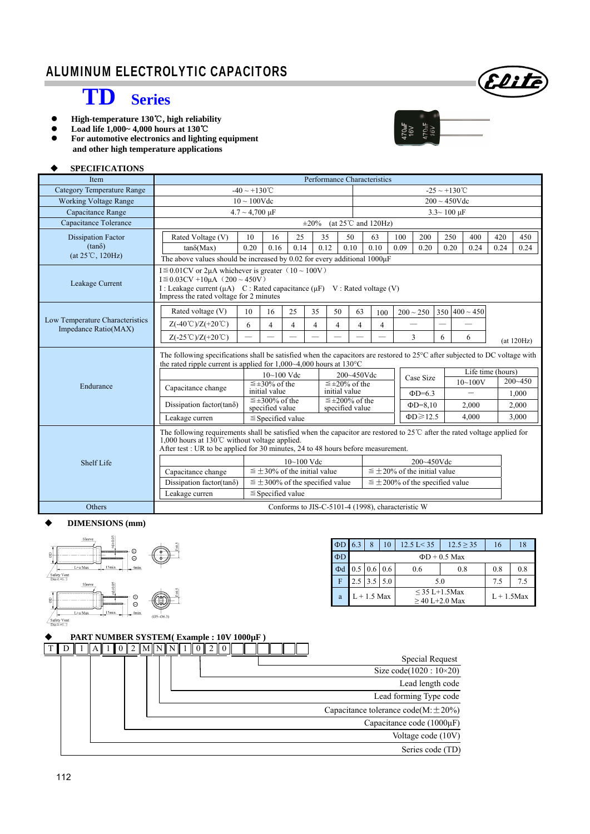# **TD Series**

- High-temperature 130°C, high reliability
- **Load life 1,000~ 4,000 hours at 130**℃
- **For automotive electronics and lighting equipment** 
	- **and other high temperature applications**

### **SPECIFICATIONS**

| Item                                                    | Performance Characteristics                                                                                                                                                                                                                                              |                                      |                                          |                |                |                                                   |      |                                      |                           |                                         |                        |                          |            |             |  |
|---------------------------------------------------------|--------------------------------------------------------------------------------------------------------------------------------------------------------------------------------------------------------------------------------------------------------------------------|--------------------------------------|------------------------------------------|----------------|----------------|---------------------------------------------------|------|--------------------------------------|---------------------------|-----------------------------------------|------------------------|--------------------------|------------|-------------|--|
| <b>Category Temperature Range</b>                       | $-40 \sim +130^{\circ}$ C                                                                                                                                                                                                                                                |                                      |                                          |                |                |                                                   |      |                                      | $-25 \sim +130^{\circ}$ C |                                         |                        |                          |            |             |  |
| <b>Working Voltage Range</b>                            | $10 \sim 100$ Vdc                                                                                                                                                                                                                                                        |                                      |                                          |                |                |                                                   |      | $200 \sim 450$ Vdc                   |                           |                                         |                        |                          |            |             |  |
| Capacitance Range                                       |                                                                                                                                                                                                                                                                          | $4.7 \sim 4,700 \text{ }\mu\text{F}$ |                                          |                |                |                                                   |      |                                      |                           |                                         | $3.3 - 100 \text{ µF}$ |                          |            |             |  |
| Capacitance Tolerance                                   |                                                                                                                                                                                                                                                                          |                                      |                                          |                | $\pm 20\%$     |                                                   |      | (at $25^{\circ}$ C and $120$ Hz)     |                           |                                         |                        |                          |            |             |  |
| <b>Dissipation Factor</b>                               | Rated Voltage (V)                                                                                                                                                                                                                                                        | 10                                   | 16                                       | 25             |                | 35                                                | 50   | 63                                   | 100                       | 200                                     | 250                    | 400                      | 420        | 450         |  |
| $(tan\delta)$                                           | $tan\delta(Max)$                                                                                                                                                                                                                                                         | 0.20                                 | 0.16                                     | 0.14           |                | 0.12                                              | 0.10 | 0.10                                 | 0.09                      | 0.20                                    | 0.20                   | 0.24                     | 0.24       | 0.24        |  |
| $(at 25^{\circ}C, 120Hz)$                               | The above values should be increased by 0.02 for every additional 1000µF                                                                                                                                                                                                 |                                      |                                          |                |                |                                                   |      |                                      |                           |                                         |                        |                          |            |             |  |
| Leakage Current                                         | $I \le 0.01$ CV or 2µA whichever is greater $(10 \sim 100V)$<br>$I \le 0.03CV + 10\mu A$ (200 ~ 450V)<br>I : Leakage current (μA) C : Rated capacitance (μF) V : Rated voltage (V)<br>Impress the rated voltage for 2 minutes                                            |                                      |                                          |                |                |                                                   |      |                                      |                           |                                         |                        |                          |            |             |  |
|                                                         | Rated voltage (V)                                                                                                                                                                                                                                                        | 10                                   | 16                                       | 25             | 35             | 50                                                | 63   | 100                                  |                           | $200 \sim 250$                          | 350                    | $400 \sim 450$           |            |             |  |
| Low Temperature Characteristics<br>Impedance Ratio(MAX) | $Z(-40^{\circ}\text{C})/Z(+20^{\circ}\text{C})$                                                                                                                                                                                                                          | 6<br>4<br>4<br>$\overline{4}$<br>4   |                                          | 4              | $\overline{4}$ |                                                   |      |                                      |                           |                                         |                        |                          |            |             |  |
|                                                         | $Z(-25^{\circ}\text{C})/Z(+20^{\circ}\text{C})$                                                                                                                                                                                                                          | ÷,                                   |                                          |                |                |                                                   |      |                                      |                           | 3                                       | 6                      | 6                        | (at 120Hz) |             |  |
|                                                         | The following specifications shall be satisfied when the capacitors are restored to 25°C after subjected to DC voltage with<br>the rated ripple current is applied for $1,000~-4,000$ hours at $130°C$                                                                   |                                      |                                          |                |                |                                                   |      |                                      |                           |                                         |                        |                          |            |             |  |
|                                                         |                                                                                                                                                                                                                                                                          |                                      | $10~100$ Vdc                             |                |                |                                                   |      | 200~450Vdc                           |                           | Case Size                               |                        | Life time (hours)        |            |             |  |
| Endurance                                               | Capacitance change                                                                                                                                                                                                                                                       |                                      | $\leq \pm 30\%$ of the                   |                |                | $\leq \pm 20\%$ of the                            |      |                                      |                           |                                         |                        | $10 - 100V$              |            | $200 - 450$ |  |
|                                                         |                                                                                                                                                                                                                                                                          |                                      | initial value<br>$\leq \pm 300\%$ of the |                |                | initial value<br>$\leq \pm 200\%$ of the          |      |                                      |                           | $\Phi$ D=6.3                            |                        | $\overline{\phantom{0}}$ |            | 1,000       |  |
|                                                         | Dissipation factor(tan $\delta$ )                                                                                                                                                                                                                                        |                                      | specified value<br>specified value       |                |                |                                                   |      |                                      | $\Phi$ D=8,10             |                                         | 2,000                  |                          | 2,000      |             |  |
|                                                         | Leakage curren                                                                                                                                                                                                                                                           |                                      | $\leq$ Specified value                   |                |                |                                                   |      | $\Phi D \geqslant 12.5$              |                           |                                         | 4,000                  |                          |            | 3,000       |  |
|                                                         | The following requirements shall be satisfied when the capacitor are restored to $25^{\circ}$ C after the rated voltage applied for<br>1,000 hours at 130°C without voltage applied.<br>After test : UR to be applied for 30 minutes, 24 to 48 hours before measurement. |                                      |                                          |                |                |                                                   |      |                                      |                           |                                         |                        |                          |            |             |  |
| Shelf Life                                              |                                                                                                                                                                                                                                                                          |                                      |                                          | $10 - 100$ Vdc |                |                                                   |      | 200~450Vdc                           |                           |                                         |                        |                          |            |             |  |
|                                                         | Capacitance change                                                                                                                                                                                                                                                       |                                      | $\leq \pm 30\%$ of the initial value     |                |                |                                                   |      | $\leq \pm 20\%$ of the initial value |                           |                                         |                        |                          |            |             |  |
|                                                         | Dissipation factor(tan $\delta$ )                                                                                                                                                                                                                                        |                                      |                                          |                |                | $\leq \pm 300\%$ of the specified value           |      |                                      |                           | $\leq \pm 200\%$ of the specified value |                        |                          |            |             |  |
|                                                         | Leakage curren                                                                                                                                                                                                                                                           |                                      | $\leq$ Specified value                   |                |                |                                                   |      |                                      |                           |                                         |                        |                          |            |             |  |
| Others                                                  |                                                                                                                                                                                                                                                                          |                                      |                                          |                |                | Conforms to JIS-C-5101-4 (1998), characteristic W |      |                                      |                           |                                         |                        |                          |            |             |  |

#### **DIMENSIONS (mm)**



| $\Phi$ D 6.3 |                               |               | 10  | $12.5 \text{ L} < 35$              | $12.5 \ge 35$ | 16  |     |  |  |  |  |  |
|--------------|-------------------------------|---------------|-----|------------------------------------|---------------|-----|-----|--|--|--|--|--|
| ΦD           | $\Phi$ D + 0.5 Max            |               |     |                                    |               |     |     |  |  |  |  |  |
| Φd           | $0.5 \,   \, 0.6 \,   \, 0.6$ |               |     | 0.6                                | 0.8           | 0.8 | 0.8 |  |  |  |  |  |
| F            |                               | 3.5           | 5.0 | 5.0                                | 7.5           | 7.5 |     |  |  |  |  |  |
| a            |                               | $L + 1.5$ Max |     | $<$ 35 L+1.5Max<br>$>40$ L+2.0 Max | $L + 1.5$ Max |     |     |  |  |  |  |  |

Elite

 $\begin{array}{c} 470 \mathrm{mF} \\ 16 \mathrm{V} \\ 470 \mathrm{mF} \\ 16 \mathrm{V} \\ 16 \mathrm{V} \end{array}$ 

 $\frac{1}{\sqrt{\frac{\text{Safety Vent}}{\text{Dia} \geq 06.3}}}$ 

|                                          |  |  | PART NUMBER SYSTEM(Example: 10V 1000µF) |       |  |  |  |  |
|------------------------------------------|--|--|-----------------------------------------|-------|--|--|--|--|
|                                          |  |  |                                         | MININ |  |  |  |  |
| Special Request                          |  |  |                                         |       |  |  |  |  |
| Size code(1020: 10×20)                   |  |  |                                         |       |  |  |  |  |
| Lead length code                         |  |  |                                         |       |  |  |  |  |
| Lead forming Type code                   |  |  |                                         |       |  |  |  |  |
| Capacitance tolerance code(M: $\pm$ 20%) |  |  |                                         |       |  |  |  |  |
| Capacitance code $(1000\mu F)$           |  |  |                                         |       |  |  |  |  |
| Voltage code (10V)                       |  |  |                                         |       |  |  |  |  |
| Series code (TD)                         |  |  |                                         |       |  |  |  |  |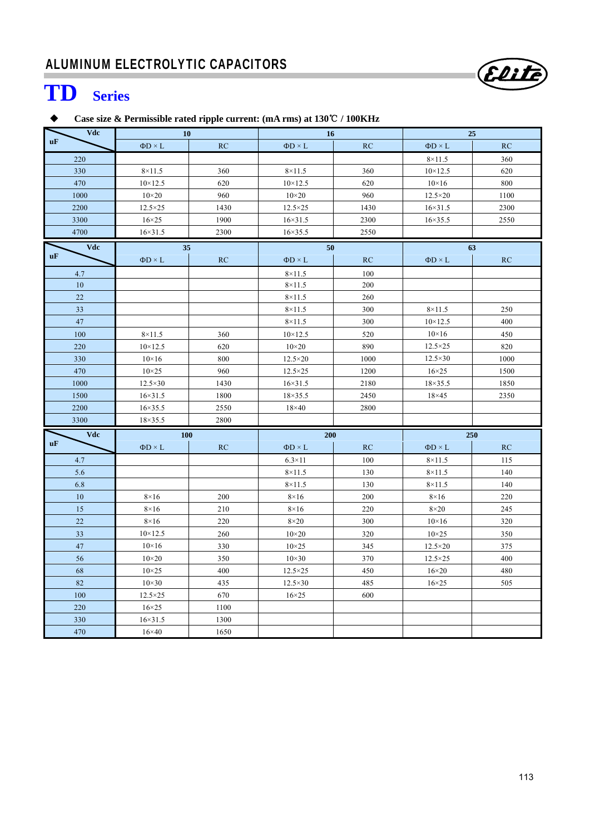

# **TD Series**

## **Case size & Permissible rated ripple current: (mA rms) at 130**℃ **/ 100KHz**

| Vdc       | 10                |      | 16                |      | 25                |      |  |  |
|-----------|-------------------|------|-------------------|------|-------------------|------|--|--|
| uF        | $\Phi D \times L$ | RC   | $\Phi D \times L$ | RC   | $\Phi D \times L$ | RC   |  |  |
| 220       |                   |      |                   |      | $8\times11.5$     | 360  |  |  |
| 330       | $8\times11.5$     | 360  | $8\times11.5$     | 360  | $10 \times 12.5$  | 620  |  |  |
| 470       | $10 \times 12.5$  | 620  | $10 \times 12.5$  | 620  | $10\times16$      | 800  |  |  |
| 1000      | $10\times20$      | 960  | $10\times20$      | 960  | $12.5\times20$    | 1100 |  |  |
| 2200      | $12.5 \times 25$  | 1430 | $12.5 \times 25$  | 1430 | $16 \times 31.5$  | 2300 |  |  |
| 3300      | $16\times25$      | 1900 | $16 \times 31.5$  | 2300 | $16 \times 35.5$  | 2550 |  |  |
| 4700      | $16 \times 31.5$  | 2300 | $16 \times 35.5$  | 2550 |                   |      |  |  |
| Vdc       | 35                |      | 50                |      |                   | 63   |  |  |
| uF        | $\Phi D \times L$ | RC   | $\Phi D \times L$ | RC   | $\Phi D \times L$ | RC   |  |  |
| 4.7       |                   |      | $8\times11.5$     | 100  |                   |      |  |  |
| 10        |                   |      | $8 \times 11.5$   | 200  |                   |      |  |  |
| 22        |                   |      | $8\times11.5$     | 260  |                   |      |  |  |
| 33        |                   |      | $8\times11.5$     | 300  | $8\times11.5$     | 250  |  |  |
| 47        |                   |      | $8\times11.5$     | 300  | $10 \times 12.5$  | 400  |  |  |
| 100       | $8 \times 11.5$   | 360  | $10 \times 12.5$  | 520  | $10\times16$      | 450  |  |  |
| 220       | $10 \times 12.5$  | 620  | $10\times20$      | 890  | $12.5 \times 25$  | 820  |  |  |
| 330       | $10\times16$      | 800  | $12.5 \times 20$  | 1000 | $12.5 \times 30$  | 1000 |  |  |
| 470       | $10\times25$      | 960  | $12.5 \times 25$  | 1200 | $16\times25$      | 1500 |  |  |
| 1000      | $12.5 \times 30$  | 1430 | $16 \times 31.5$  | 2180 | $18 \times 35.5$  | 1850 |  |  |
| 1500      | $16 \times 31.5$  | 1800 | $18 \times 35.5$  | 2450 | $18\times 45$     | 2350 |  |  |
| 2200      | $16 \times 35.5$  | 2550 | $18\times40$      | 2800 |                   |      |  |  |
| 3300      | $18 \times 35.5$  | 2800 |                   |      |                   |      |  |  |
| Vdc       | 100               |      | 200               |      |                   | 250  |  |  |
| <b>uF</b> | $\Phi D \times L$ | RC   | $\Phi D \times L$ | RC   | $\Phi D \times L$ | RC   |  |  |
| 4.7       |                   |      | $6.3\times11$     | 100  | $8\times11.5$     | 115  |  |  |
| 5.6       |                   |      | $8\times11.5$     | 130  | $8\times11.5$     | 140  |  |  |
| 6.8       |                   |      | $8\times11.5$     | 130  | $8\times11.5$     | 140  |  |  |
| 10        | $8\times16$       | 200  | $8\times16$       | 200  | $8\times16$       | 220  |  |  |
| 15        | $8\times16$       | 210  | $8\times16$       | 220  | $8\times20$       | 245  |  |  |
| 22        | $8\times16$       | 220  | $8\times20$       | 300  | $10\times16$      | 320  |  |  |
| 33        | $10 \times 12.5$  | 260  | $10\times 20$     | 320  | $10\times25$      | 350  |  |  |
| 47        | $10\times16$      | 330  | $10\times25$      | 345  | $12.5 \times 20$  | 375  |  |  |
| 56        | $10\times20$      | 350  | $10\times30$      | 370  | $12.5 \times 25$  | 400  |  |  |
| 68        | $10\times25$      | 400  | $12.5 \times 25$  | 450  | $16\times20$      | 480  |  |  |
| 82        | $10\times30$      | 435  | $12.5 \times 30$  | 485  | $16\times25$      | 505  |  |  |
| 100       | $12.5 \times 25$  | 670  | $16\times25$      | 600  |                   |      |  |  |
| 220       | $16\times25$      | 1100 |                   |      |                   |      |  |  |
| 330       | $16 \times 31.5$  | 1300 |                   |      |                   |      |  |  |
| 470       | $16\times 40$     | 1650 |                   |      |                   |      |  |  |